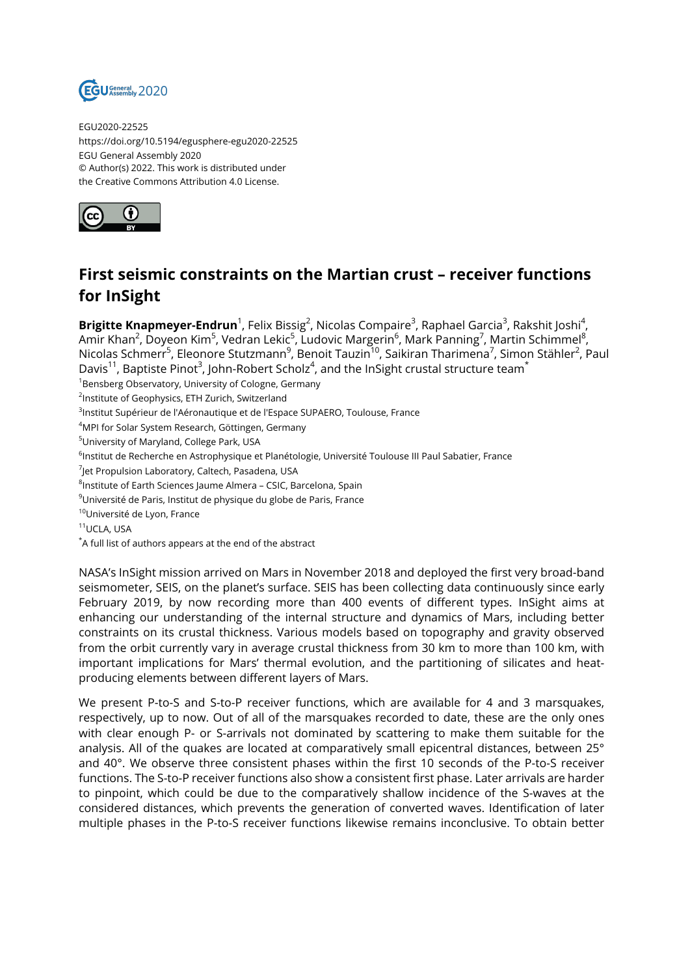

EGU2020-22525 https://doi.org/10.5194/egusphere-egu2020-22525 EGU General Assembly 2020 © Author(s) 2022. This work is distributed under the Creative Commons Attribution 4.0 License.



## **First seismic constraints on the Martian crust – receiver functions for InSight**

**Brigitte Knapmeyer-Endrun**<sup>1</sup>, Felix Bissig<sup>2</sup>, Nicolas Compaire<sup>3</sup>, Raphael Garcia<sup>3</sup>, Rakshit Joshi<sup>4</sup>, Amir Khan<sup>2</sup>, Doyeon Kim<sup>5</sup>, Vedran Lekic<sup>5</sup>, Ludovic Margerin<sup>6</sup>, Mark Panning<sup>7</sup>, Martin Schimmel<sup>8</sup>, Nicolas Schmerr<sup>5</sup>, Eleonore Stutzmann<sup>9</sup>, Benoit Tauzin<sup>10</sup>, Saikiran Tharimena<sup>7</sup>, Simon Stähler<sup>2</sup>, Paul Davis $^{11}$ , Baptiste Pinot $^3$ , John-Robert Scholz $^4$ , and the InSight crustal structure team $^\star$ 

<sup>1</sup>Bensberg Observatory, University of Cologne, Germany

- <sup>3</sup>lnstitut Supérieur de l'Aéronautique et de l'Espace SUPAERO, Toulouse, France
- <sup>4</sup>MPI for Solar System Research, Göttingen, Germany
- <sup>5</sup>University of Maryland, College Park, USA
- <sup>6</sup>lnstitut de Recherche en Astrophysique et Planétologie, Université Toulouse III Paul Sabatier, France
- $^{7}$ Jet Propulsion Laboratory, Caltech, Pasadena, USA
- $^8$ Institute of Earth Sciences Jaume Almera CSIC, Barcelona, Spain
- <sup>9</sup>Université de Paris, Institut de physique du globe de Paris, France
- <sup>10</sup>Université de Lyon, France
- $11$ UCLA, USA
- \*A full list of authors appears at the end of the abstract

NASA's InSight mission arrived on Mars in November 2018 and deployed the first very broad-band seismometer, SEIS, on the planet's surface. SEIS has been collecting data continuously since early February 2019, by now recording more than 400 events of different types. InSight aims at enhancing our understanding of the internal structure and dynamics of Mars, including better constraints on its crustal thickness. Various models based on topography and gravity observed from the orbit currently vary in average crustal thickness from 30 km to more than 100 km, with important implications for Mars' thermal evolution, and the partitioning of silicates and heatproducing elements between different layers of Mars.

We present P-to-S and S-to-P receiver functions, which are available for 4 and 3 marsquakes, respectively, up to now. Out of all of the marsquakes recorded to date, these are the only ones with clear enough P- or S-arrivals not dominated by scattering to make them suitable for the analysis. All of the quakes are located at comparatively small epicentral distances, between 25° and 40°. We observe three consistent phases within the first 10 seconds of the P-to-S receiver functions. The S-to-P receiver functions also show a consistent first phase. Later arrivals are harder to pinpoint, which could be due to the comparatively shallow incidence of the S-waves at the considered distances, which prevents the generation of converted waves. Identification of later multiple phases in the P-to-S receiver functions likewise remains inconclusive. To obtain better

<sup>&</sup>lt;sup>2</sup>Institute of Geophysics, ETH Zurich, Switzerland